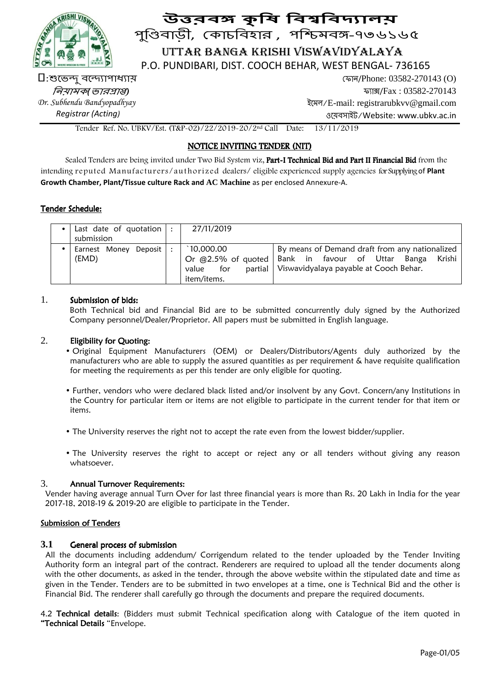

# উত্তরবঙ্গ কৃষি বিশ্ববিদ্যা<mark>লয</mark>় পুিবাড়ী, কাচিবহার , পিমব-৭৩৬১৬৫ UTTAR BANGA KRISHI VISWAVIDYALAYA

P.O. PUNDIBARI, DIST. COOCH BEHAR, WEST BENGAL- 736165

 $\Box$ :শুভেন্দু বন্দ্যোপাধ্যায় *লিয়ামক* ভারপ্রাপ্তা *Dr. Subhendu Bandyopadhyay* 

*Registrar (Acting)* 

 ফান/Phone: 03582-270143 (O) ফা#/Fax : 03582-270143 ইেমল/E-mail: registrarubkvv@gmail.com ওেয়বসাইট/Website: www.ubkv.ac.in

Tender Ref. No. UBKV/Est. (T&P-02)/22/2019-20/2nd Call Date: 13/11/2019

## NOTICE INVITING TENDER (NIT)

Sealed Tenders are being invited under Two Bid System viz, Part-I Technical Bid and Part II Financial Bid from the intending reputed Manufacturers/authorized dealers/ eligible experienced supply agencies for Supplying of **Plant Growth Chamber, Plant/Tissue culture Rack and AC Machine** as per enclosed Annexure-A.

## Tender Schedule:

|  | Last date of quotation<br>submission | 27/11/2019              |                                                                 |
|--|--------------------------------------|-------------------------|-----------------------------------------------------------------|
|  |                                      |                         |                                                                 |
|  | Earnest Money Deposit                | $\hat{10,000.00}$       | By means of Demand draft from any nationalized                  |
|  | (EMD)                                |                         | Or @2.5% of quoted   Bank in favour of Uttar<br>Krishi<br>Banga |
|  |                                      | partial<br>for<br>value | Viswavidyalaya payable at Cooch Behar.                          |
|  |                                      | item/items.             |                                                                 |

## 1. Submission of bids:

 Both Technical bid and Financial Bid are to be submitted concurrently duly signed by the Authorized Company personnel/Dealer/Proprietor. All papers must be submitted in English language.

### 2. Eligibility for Quoting:

- Original Equipment Manufacturers (OEM) or Dealers/Distributors/Agents duly authorized by the manufacturers who are able to supply the assured quantities as per requirement & have requisite qualification for meeting the requirements as per this tender are only eligible for quoting.
- Further, vendors who were declared black listed and/or insolvent by any Govt. Concern/any Institutions in the Country for particular item or items are not eligible to participate in the current tender for that item or items.
- The University reserves the right not to accept the rate even from the lowest bidder/supplier.
- The University reserves the right to accept or reject any or all tenders without giving any reason whatsoever.

## 3. Annual Turnover Requirements:

 Vender having average annual Turn Over for last three financial years is more than Rs. 20 Lakh in India for the year 2017-18, 2018-19 & 2019-20 are eligible to participate in the Tender.

## Submission of Tenders

#### **3.1** General process of submission

 All the documents including addendum/ Corrigendum related to the tender uploaded by the Tender Inviting Authority form an integral part of the contract. Renderers are required to upload all the tender documents along with the other documents, as asked in the tender, through the above website within the stipulated date and time as given in the Tender. Tenders are to be submitted in two envelopes at a time, one is Technical Bid and the other is Financial Bid. The renderer shall carefully go through the documents and prepare the required documents.

4.2 Technical details: (Bidders must submit Technical specification along with Catalogue of the item quoted in "Technical Details "Envelope.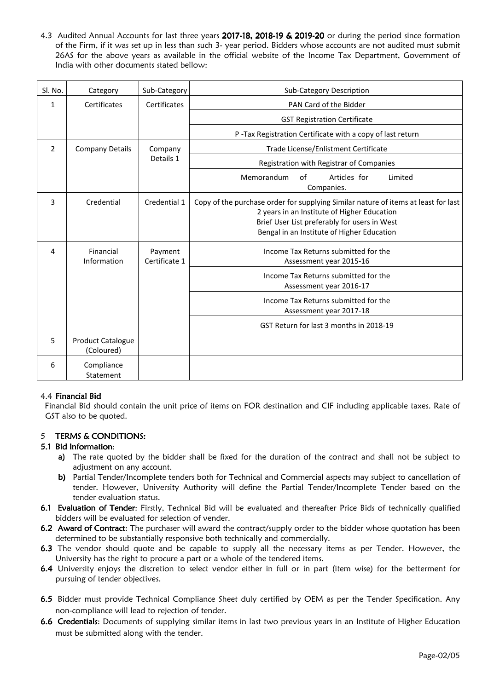4.3 Audited Annual Accounts for last three years 2017-18, 2018-19 & 2019-20 or during the period since formation of the Firm, if it was set up in less than such 3- year period. Bidders whose accounts are not audited must submit 26AS for the above years as available in the official website of the Income Tax Department, Government of India with other documents stated bellow:

| SI. No.        | Category                               | Sub-Category             | <b>Sub-Category Description</b>                                                                                                                                                                                                 |
|----------------|----------------------------------------|--------------------------|---------------------------------------------------------------------------------------------------------------------------------------------------------------------------------------------------------------------------------|
| $\mathbf{1}$   | Certificates                           | Certificates             | PAN Card of the Bidder                                                                                                                                                                                                          |
|                |                                        |                          | <b>GST Registration Certificate</b>                                                                                                                                                                                             |
|                |                                        |                          | P-Tax Registration Certificate with a copy of last return                                                                                                                                                                       |
| $\overline{2}$ | <b>Company Details</b>                 | Company                  | Trade License/Enlistment Certificate                                                                                                                                                                                            |
|                |                                        | Details 1                | Registration with Registrar of Companies                                                                                                                                                                                        |
|                |                                        |                          | Memorandum<br>of<br>Articles for<br>Limited<br>Companies.                                                                                                                                                                       |
| 3              | Credential                             | Credential 1             | Copy of the purchase order for supplying Similar nature of items at least for last<br>2 years in an Institute of Higher Education<br>Brief User List preferably for users in West<br>Bengal in an Institute of Higher Education |
| 4              | Financial<br>Information               | Payment<br>Certificate 1 | Income Tax Returns submitted for the<br>Assessment year 2015-16                                                                                                                                                                 |
|                |                                        |                          | Income Tax Returns submitted for the<br>Assessment year 2016-17                                                                                                                                                                 |
|                |                                        |                          | Income Tax Returns submitted for the<br>Assessment year 2017-18                                                                                                                                                                 |
|                |                                        |                          | GST Return for last 3 months in 2018-19                                                                                                                                                                                         |
| 5              | <b>Product Catalogue</b><br>(Coloured) |                          |                                                                                                                                                                                                                                 |
| 6              | Compliance<br>Statement                |                          |                                                                                                                                                                                                                                 |

#### 4.4 Financial Bid

Financial Bid should contain the unit price of items on FOR destination and CIF including applicable taxes. Rate of GST also to be quoted.

#### 5 TERMS & CONDITIONS:

#### 5.1 Bid Information:

- a) The rate quoted by the bidder shall be fixed for the duration of the contract and shall not be subject to adjustment on any account.
- b) Partial Tender/Incomplete tenders both for Technical and Commercial aspects may subject to cancellation of tender. However, University Authority will define the Partial Tender/Incomplete Tender based on the tender evaluation status.
- 6.1 Evaluation of Tender: Firstly, Technical Bid will be evaluated and thereafter Price Bids of technically qualified bidders will be evaluated for selection of vender.
- 6.2 Award of Contract: The purchaser will award the contract/supply order to the bidder whose quotation has been determined to be substantially responsive both technically and commercially.
- 6.3 The vendor should quote and be capable to supply all the necessary items as per Tender. However, the University has the right to procure a part or a whole of the tendered items.
- 6.4 University enjoys the discretion to select vendor either in full or in part (item wise) for the betterment for pursuing of tender objectives.
- 6.5 Bidder must provide Technical Compliance Sheet duly certified by OEM as per the Tender Specification. Any non-compliance will lead to rejection of tender.
- 6.6 Credentials: Documents of supplying similar items in last two previous years in an Institute of Higher Education must be submitted along with the tender.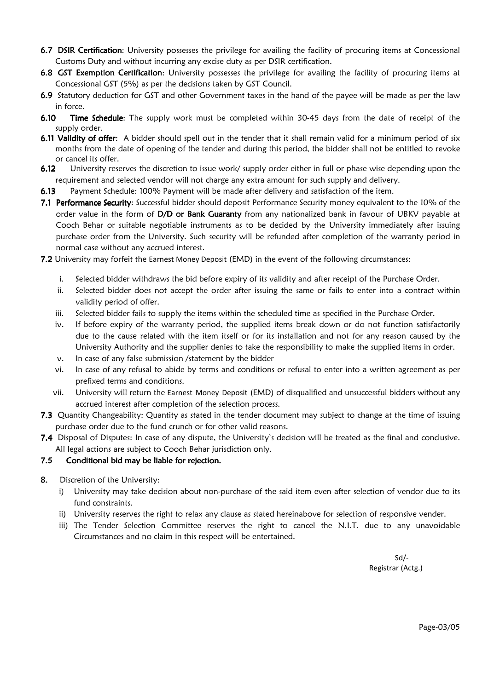- 6.7 DSIR Certification: University possesses the privilege for availing the facility of procuring items at Concessional Customs Duty and without incurring any excise duty as per DSIR certification.
- 6.8 GST Exemption Certification: University possesses the privilege for availing the facility of procuring items at Concessional GST (5%) as per the decisions taken by GST Council.
- 6.9 Statutory deduction for GST and other Government taxes in the hand of the payee will be made as per the law in force.
- 6.10 Time Schedule: The supply work must be completed within 30-45 days from the date of receipt of the supply order.
- 6.11 Validity of offer: A bidder should spell out in the tender that it shall remain valid for a minimum period of six months from the date of opening of the tender and during this period, the bidder shall not be entitled to revoke or cancel its offer.
- 6.12 University reserves the discretion to issue work/ supply order either in full or phase wise depending upon the requirement and selected vendor will not charge any extra amount for such supply and delivery.
- 6.13 Payment Schedule: 100% Payment will be made after delivery and satisfaction of the item.
- 7.1 Performance Security: Successful bidder should deposit Performance Security money equivalent to the 10% of the order value in the form of D/D or Bank Guaranty from any nationalized bank in favour of UBKV payable at Cooch Behar or suitable negotiable instruments as to be decided by the University immediately after issuing purchase order from the University. Such security will be refunded after completion of the warranty period in normal case without any accrued interest.
- 7.2 University may forfeit the Earnest Money Deposit (EMD) in the event of the following circumstances:
	- i. Selected bidder withdraws the bid before expiry of its validity and after receipt of the Purchase Order.
	- ii. Selected bidder does not accept the order after issuing the same or fails to enter into a contract within validity period of offer.
	- iii. Selected bidder fails to supply the items within the scheduled time as specified in the Purchase Order.
	- iv. If before expiry of the warranty period, the supplied items break down or do not function satisfactorily due to the cause related with the item itself or for its installation and not for any reason caused by the University Authority and the supplier denies to take the responsibility to make the supplied items in order.
	- v. In case of any false submission /statement by the bidder
	- vi. In case of any refusal to abide by terms and conditions or refusal to enter into a written agreement as per prefixed terms and conditions.
	- vii. University will return the Earnest Money Deposit (EMD) of disqualified and unsuccessful bidders without any accrued interest after completion of the selection process.
- 7.3 Quantity Changeability: Quantity as stated in the tender document may subject to change at the time of issuing purchase order due to the fund crunch or for other valid reasons.
- 7.4 Disposal of Disputes: In case of any dispute, the University's decision will be treated as the final and conclusive. All legal actions are subject to Cooch Behar jurisdiction only.

#### 7.5 Conditional bid may be liable for rejection.

- 8. Discretion of the University:
	- i) University may take decision about non-purchase of the said item even after selection of vendor due to its fund constraints.
	- ii) University reserves the right to relax any clause as stated hereinabove for selection of responsive vender.
	- iii) The Tender Selection Committee reserves the right to cancel the N.I.T. due to any unavoidable Circumstances and no claim in this respect will be entertained.

Sd/- Registrar (Actg.)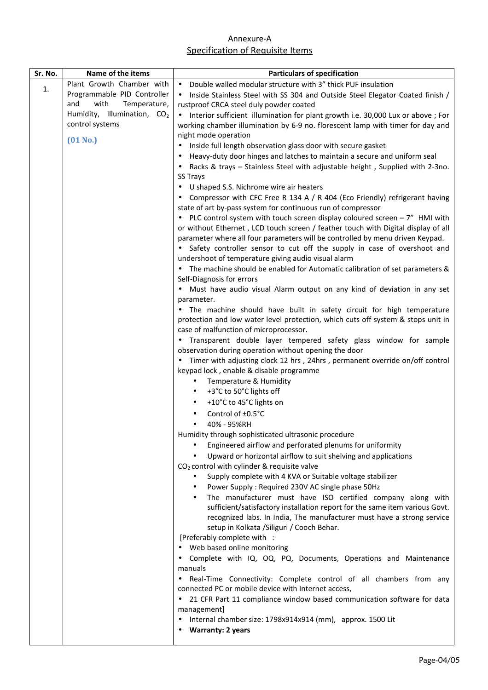# Annexure-A Specification of Requisite Items

| Sr. No. | Name of the items                       | <b>Particulars of specification</b>                                                                                                          |
|---------|-----------------------------------------|----------------------------------------------------------------------------------------------------------------------------------------------|
| 1.      | Plant Growth Chamber with               | • Double walled modular structure with 3" thick PUF insulation                                                                               |
|         | Programmable PID Controller             | Inside Stainless Steel with SS 304 and Outside Steel Elegator Coated finish /<br>$\bullet$                                                   |
|         | with<br>and<br>Temperature,             | rustproof CRCA steel duly powder coated                                                                                                      |
|         | Humidity, Illumination, CO <sub>2</sub> | • Interior sufficient illumination for plant growth i.e. 30,000 Lux or above ; For                                                           |
|         | control systems                         | working chamber illumination by 6-9 no. florescent lamp with timer for day and                                                               |
|         | $(01$ No.)                              | night mode operation                                                                                                                         |
|         |                                         | Inside full length observation glass door with secure gasket<br>$\bullet$                                                                    |
|         |                                         | Heavy-duty door hinges and latches to maintain a secure and uniform seal                                                                     |
|         |                                         | Racks & trays - Stainless Steel with adjustable height, Supplied with 2-3no.                                                                 |
|         |                                         | <b>SS Trays</b>                                                                                                                              |
|         |                                         | U shaped S.S. Nichrome wire air heaters                                                                                                      |
|         |                                         | Compressor with CFC Free R 134 A / R 404 (Eco Friendly) refrigerant having                                                                   |
|         |                                         | state of art by-pass system for continuous run of compressor<br>PLC control system with touch screen display coloured screen $-7$ " HMI with |
|         |                                         | or without Ethernet, LCD touch screen / feather touch with Digital display of all                                                            |
|         |                                         | parameter where all four parameters will be controlled by menu driven Keypad.                                                                |
|         |                                         | Safety controller sensor to cut off the supply in case of overshoot and                                                                      |
|         |                                         | undershoot of temperature giving audio visual alarm                                                                                          |
|         |                                         | The machine should be enabled for Automatic calibration of set parameters &                                                                  |
|         |                                         | Self-Diagnosis for errors                                                                                                                    |
|         |                                         | Must have audio visual Alarm output on any kind of deviation in any set                                                                      |
|         |                                         | parameter.                                                                                                                                   |
|         |                                         | The machine should have built in safety circuit for high temperature                                                                         |
|         |                                         | protection and low water level protection, which cuts off system & stops unit in                                                             |
|         |                                         | case of malfunction of microprocessor.                                                                                                       |
|         |                                         | Transparent double layer tempered safety glass window for sample                                                                             |
|         |                                         | observation during operation without opening the door                                                                                        |
|         |                                         | Timer with adjusting clock 12 hrs, 24hrs, permanent override on/off control                                                                  |
|         |                                         | keypad lock, enable & disable programme<br>Temperature & Humidity<br>٠                                                                       |
|         |                                         | +3°C to 50°C lights off<br>٠                                                                                                                 |
|         |                                         | +10°C to 45°C lights on<br>$\bullet$                                                                                                         |
|         |                                         | Control of ±0.5°C                                                                                                                            |
|         |                                         | 40% - 95%RH                                                                                                                                  |
|         |                                         | Humidity through sophisticated ultrasonic procedure                                                                                          |
|         |                                         | Engineered airflow and perforated plenums for uniformity                                                                                     |
|         |                                         | Upward or horizontal airflow to suit shelving and applications                                                                               |
|         |                                         | $CO2$ control with cylinder & requisite valve                                                                                                |
|         |                                         | Supply complete with 4 KVA or Suitable voltage stabilizer<br>$\bullet$                                                                       |
|         |                                         | Power Supply: Required 230V AC single phase 50Hz<br>$\bullet$                                                                                |
|         |                                         | The manufacturer must have ISO certified company along with<br>$\bullet$                                                                     |
|         |                                         | sufficient/satisfactory installation report for the same item various Govt.                                                                  |
|         |                                         | recognized labs. In India, The manufacturer must have a strong service                                                                       |
|         |                                         | setup in Kolkata / Siliguri / Cooch Behar.                                                                                                   |
|         |                                         | [Preferably complete with :                                                                                                                  |
|         |                                         | Web based online monitoring                                                                                                                  |
|         |                                         | Complete with IQ, OQ, PQ, Documents, Operations and Maintenance                                                                              |
|         |                                         | manuals                                                                                                                                      |
|         |                                         | Real-Time Connectivity: Complete control of all chambers from any<br>$\bullet$                                                               |
|         |                                         | connected PC or mobile device with Internet access,                                                                                          |
|         |                                         | 21 CFR Part 11 compliance window based communication software for data<br>management]                                                        |
|         |                                         | Internal chamber size: 1798x914x914 (mm), approx. 1500 Lit                                                                                   |
|         |                                         | <b>Warranty: 2 years</b>                                                                                                                     |
|         |                                         |                                                                                                                                              |